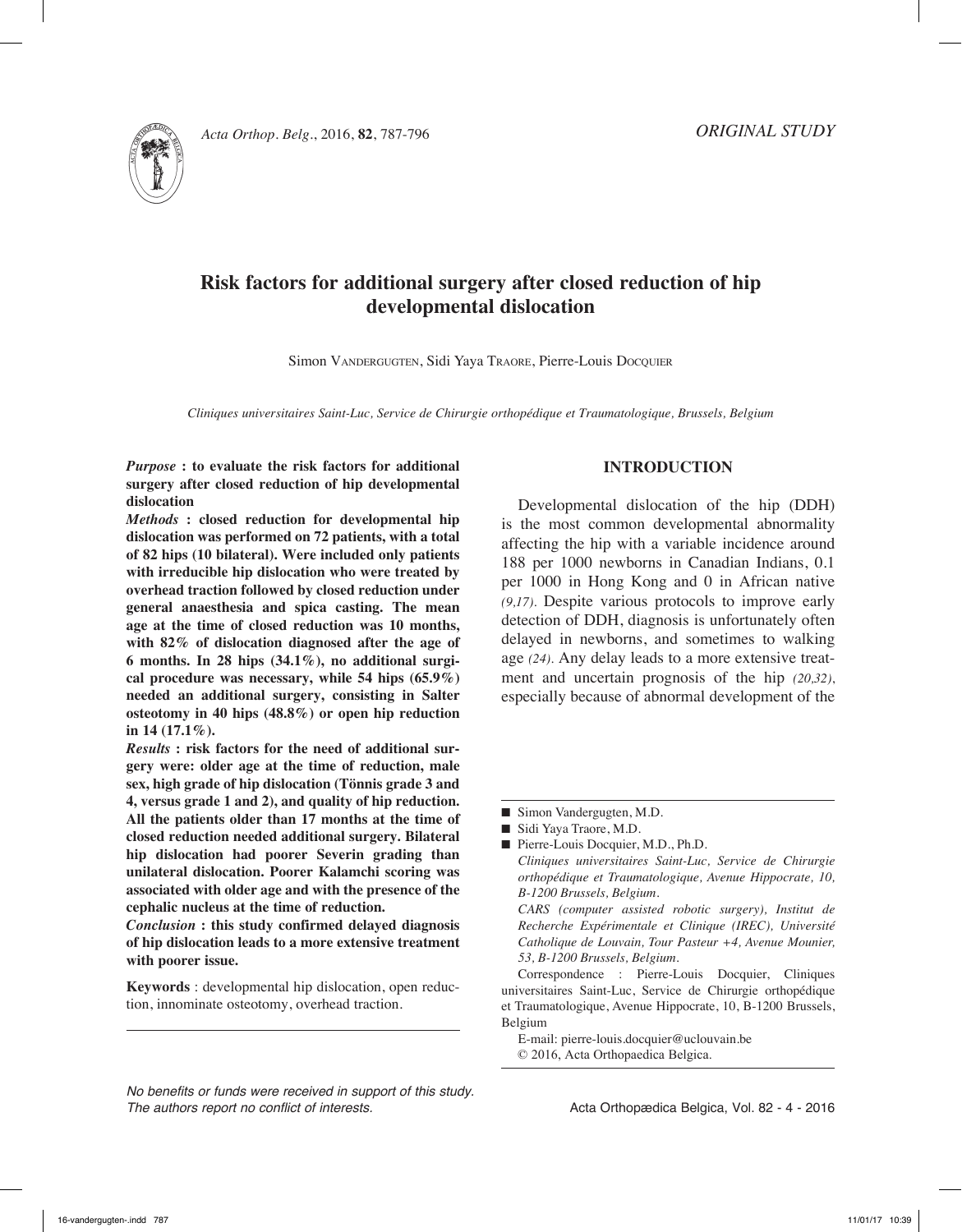

# **Risk factors for additional surgery after closed reduction of hip developmental dislocation**

Simon VANDERGUGTEN, Sidi Yaya TRAORE, Pierre-Louis Docquier

*Cliniques universitaires Saint-Luc, Service de Chirurgie orthopédique et Traumatologique, Brussels, Belgium*

*Purpose* **: to evaluate the risk factors for additional surgery after closed reduction of hip developmental dislocation**

*Methods* **: closed reduction for developmental hip dislocation was performed on 72 patients, with a total of 82 hips (10 bilateral). Were included only patients with irreducible hip dislocation who were treated by overhead traction followed by closed reduction under general anaesthesia and spica casting. The mean age at the time of closed reduction was 10 months, with 82% of dislocation diagnosed after the age of 6 months. In 28 hips (34.1%), no additional surgical procedure was necessary, while 54 hips (65.9%) needed an additional surgery, consisting in Salter osteotomy in 40 hips (48.8%) or open hip reduction in 14 (17.1%).** 

*Results* **: risk factors for the need of additional surgery were: older age at the time of reduction, male sex, high grade of hip dislocation (Tönnis grade 3 and 4, versus grade 1 and 2), and quality of hip reduction. All the patients older than 17 months at the time of closed reduction needed additional surgery. Bilateral hip dislocation had poorer Severin grading than unilateral dislocation. Poorer Kalamchi scoring was associated with older age and with the presence of the cephalic nucleus at the time of reduction.**

*Conclusion* **: this study confirmed delayed diagnosis of hip dislocation leads to a more extensive treatment with poorer issue.**

**Keywords** : developmental hip dislocation, open reduction, innominate osteotomy, overhead traction.

*No benefits or funds were received in support of this study. The authors report no conflict of interests.* 

#### **Introduction**

Developmental dislocation of the hip (DDH) is the most common developmental abnormality affecting the hip with a variable incidence around 188 per 1000 newborns in Canadian Indians, 0.1 per 1000 in Hong Kong and 0 in African native *(9,17)*. Despite various protocols to improve early detection of DDH, diagnosis is unfortunately often delayed in newborns, and sometimes to walking age *(24)*. Any delay leads to a more extensive treatment and uncertain prognosis of the hip *(20,32)*, especially because of abnormal development of the

■ Pierre-Louis Docquier, M.D., Ph.D. *Cliniques universitaires Saint-Luc, Service de Chirurgie orthopédique et Traumatologique, Avenue Hippocrate, 10, B-1200 Brussels, Belgium.*

*CARS (computer assisted robotic surgery), Institut de Recherche Expérimentale et Clinique (IREC), Université Catholique de Louvain, Tour Pasteur +4, Avenue Mounier, 53, B-1200 Brussels, Belgium.*

Correspondence : Pierre-Louis Docquier, Cliniques universitaires Saint-Luc, Service de Chirurgie orthopédique et Traumatologique, Avenue Hippocrate, 10, B-1200 Brussels, Belgium

E-mail: pierre-louis.docquier@uclouvain.be © 2016, Acta Orthopaedica Belgica.

<sup>■</sup> Simon Vandergugten, M.D.

<sup>■</sup> Sidi Yaya Traore, M.D.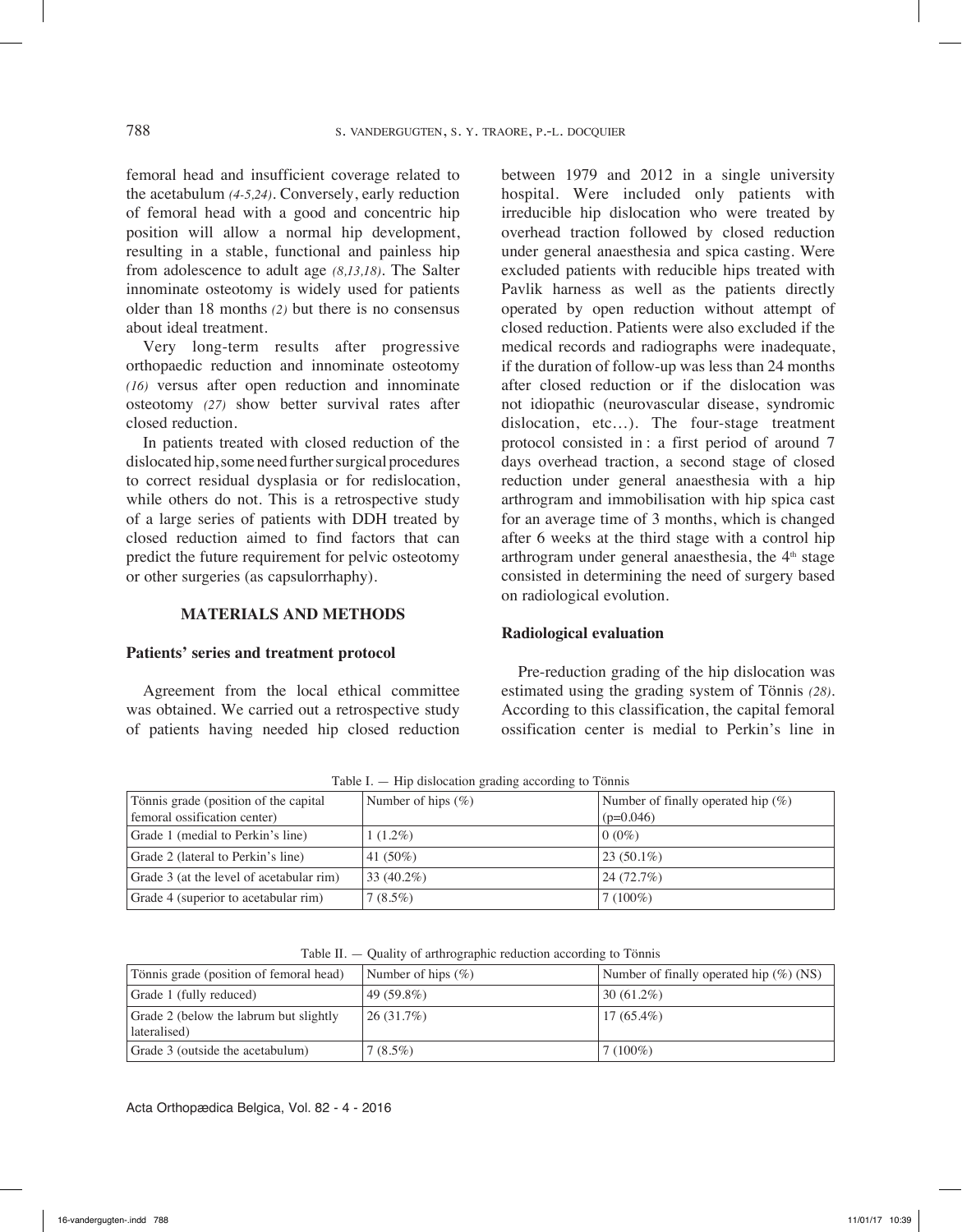femoral head and insufficient coverage related to the acetabulum *(4-5,24)*. Conversely, early reduction of femoral head with a good and concentric hip position will allow a normal hip development, resulting in a stable, functional and painless hip from adolescence to adult age *(8,13,18)*. The Salter innominate osteotomy is widely used for patients older than 18 months *(2)* but there is no consensus about ideal treatment.

Very long-term results after progressive orthopaedic reduction and innominate osteotomy *(16)* versus after open reduction and innominate osteotomy *(27)* show better survival rates after closed reduction.

In patients treated with closed reduction of the dislocated hip, some need further surgical procedures to correct residual dysplasia or for redislocation, while others do not. This is a retrospective study of a large series of patients with DDH treated by closed reduction aimed to find factors that can predict the future requirement for pelvic osteotomy or other surgeries (as capsulorrhaphy).

## **Materials and methods**

#### **Patients' series and treatment protocol**

Agreement from the local ethical committee was obtained. We carried out a retrospective study of patients having needed hip closed reduction between 1979 and 2012 in a single university hospital. Were included only patients with irreducible hip dislocation who were treated by overhead traction followed by closed reduction under general anaesthesia and spica casting. Were excluded patients with reducible hips treated with Pavlik harness as well as the patients directly operated by open reduction without attempt of closed reduction. Patients were also excluded if the medical records and radiographs were inadequate, if the duration of follow-up was less than 24 months after closed reduction or if the dislocation was not idiopathic (neurovascular disease, syndromic dislocation, etc…). The four-stage treatment protocol consisted in : a first period of around 7 days overhead traction, a second stage of closed reduction under general anaesthesia with a hip arthrogram and immobilisation with hip spica cast for an average time of 3 months, which is changed after 6 weeks at the third stage with a control hip arthrogram under general anaesthesia, the 4<sup>th</sup> stage consisted in determining the need of surgery based on radiological evolution.

#### **Radiological evaluation**

Pre-reduction grading of the hip dislocation was estimated using the grading system of Tönnis *(28)*. According to this classification, the capital femoral ossification center is medial to Perkin's line in

| Tönnis grade (position of the capital    | Number of hips $(\% )$ | Number of finally operated hip $(\%)$ |
|------------------------------------------|------------------------|---------------------------------------|
| femoral ossification center)             |                        | $(p=0.046)$                           |
| Grade 1 (medial to Perkin's line)        | $1(1.2\%)$             | $0(0\%)$                              |
| Grade 2 (lateral to Perkin's line)       | 41 $(50\%)$            | $23(50.1\%)$                          |
| Grade 3 (at the level of acetabular rim) | 33 $(40.2\%)$          | 24(72.7%)                             |
| Grade 4 (superior to acetabular rim)     | $7(8.5\%)$             | $7(100\%)$                            |

Table I. — Hip dislocation grading according to Tönnis

Table II. — Quality of arthrographic reduction according to Tönnis

| Tönnis grade (position of femoral head) | Number of hips $(\%)$ | Number of finally operated hip $(\%)(NS)$ |  |
|-----------------------------------------|-----------------------|-------------------------------------------|--|
| Grade 1 (fully reduced)                 | $49(59.8\%)$          | $ 30(61.2\%)$                             |  |
| Grade 2 (below the labrum but slightly  | $ 26(31.7\%)$         | $17(65.4\%)$                              |  |
| lateralised)                            |                       |                                           |  |
| Grade 3 (outside the acetabulum)        | $7(8.5\%)$            | $7(100\%)$                                |  |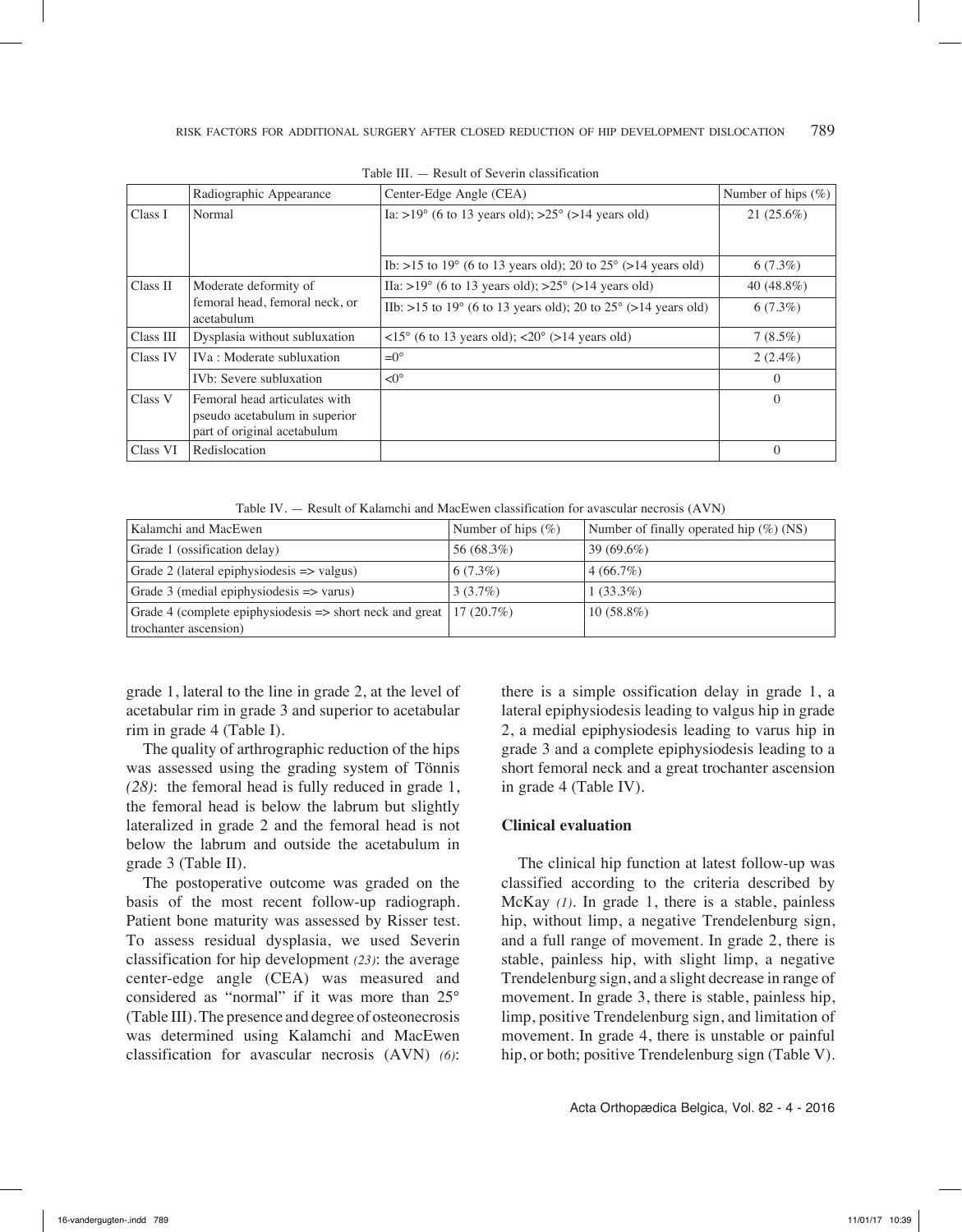|                                              | Radiographic Appearance                                                                       | Center-Edge Angle (CEA)                                                                                   | Number of hips $(\% )$ |
|----------------------------------------------|-----------------------------------------------------------------------------------------------|-----------------------------------------------------------------------------------------------------------|------------------------|
| Class I                                      | Normal                                                                                        | Ia: >19 $^{\circ}$ (6 to 13 years old); >25 $^{\circ}$ (>14 years old)                                    | $21(25.6\%)$           |
|                                              |                                                                                               | Ib: >15 to 19 $^{\circ}$ (6 to 13 years old); 20 to 25 $^{\circ}$ (>14 years old)                         | $6(7.3\%)$             |
| Class II                                     | Moderate deformity of                                                                         | IIa: >19 $\degree$ (6 to 13 years old); >25 $\degree$ (>14 years old)                                     | 40 (48.8%)             |
| femoral head, femoral neck, or<br>acetabulum |                                                                                               | IIb: >15 to 19 $^{\circ}$ (6 to 13 years old); 20 to 25 $^{\circ}$ (>14 years old)                        | $6(7.3\%)$             |
| Class III                                    | Dysplasia without subluxation                                                                 | $\langle 15^\circ (6 \text{ to } 13 \text{ years old}); \langle 20^\circ (>14 \text{ years old}) \rangle$ | $7(8.5\%)$             |
| Class IV                                     | IVa : Moderate subluxation                                                                    | $=0^{\circ}$                                                                                              | $2(2.4\%)$             |
|                                              | IV <sub>b</sub> : Severe subluxation                                                          | $\leq 0^{\circ}$                                                                                          | $\theta$               |
| Class V                                      | Femoral head articulates with<br>pseudo acetabulum in superior<br>part of original acetabulum |                                                                                                           | $\Omega$               |
| Class VI                                     | Redislocation                                                                                 |                                                                                                           | $\theta$               |

Table III. — Result of Severin classification

Table IV. — Result of Kalamchi and MacEwen classification for avascular necrosis (AVN)

| Kalamchi and MacEwen                                                             | Number of hips $(\% )$ | Number of finally operated hip $(\%)(NS)$ |
|----------------------------------------------------------------------------------|------------------------|-------------------------------------------|
| Grade 1 (ossification delay)                                                     | 56 (68.3%)             | $39(69.6\%)$                              |
| Grade 2 (lateral epiphysiodesis $\Rightarrow$ valgus)                            | $6(7.3\%)$             | 4(66.7%)                                  |
| Grade 3 (medial epiphysiodesis $\Rightarrow$ varus)                              | 3(3.7%)                | $1(33.3\%)$                               |
| Grade 4 (complete epiphysiodesis $\Rightarrow$ short neck and great   17 (20.7%) |                        | $10(58.8\%)$                              |
| trochanter ascension)                                                            |                        |                                           |

grade 1, lateral to the line in grade 2, at the level of acetabular rim in grade 3 and superior to acetabular rim in grade 4 (Table I).

The quality of arthrographic reduction of the hips was assessed using the grading system of Tönnis *(28)*: the femoral head is fully reduced in grade 1, the femoral head is below the labrum but slightly lateralized in grade 2 and the femoral head is not below the labrum and outside the acetabulum in grade 3 (Table II).

The postoperative outcome was graded on the basis of the most recent follow-up radiograph. Patient bone maturity was assessed by Risser test. To assess residual dysplasia, we used Severin classification for hip development *(23)*: the average center-edge angle (CEA) was measured and considered as "normal" if it was more than 25° (Table III). The presence and degree of osteonecrosis was determined using Kalamchi and MacEwen classification for avascular necrosis (AVN) *(6)*:

there is a simple ossification delay in grade 1, a lateral epiphysiodesis leading to valgus hip in grade 2, a medial epiphysiodesis leading to varus hip in grade 3 and a complete epiphysiodesis leading to a short femoral neck and a great trochanter ascension in grade 4 (Table IV).

## **Clinical evaluation**

The clinical hip function at latest follow-up was classified according to the criteria described by McKay *(1)*. In grade 1, there is a stable, painless hip, without limp, a negative Trendelenburg sign, and a full range of movement. In grade 2, there is stable, painless hip, with slight limp, a negative Trendelenburg sign, and a slight decrease in range of movement. In grade 3, there is stable, painless hip, limp, positive Trendelenburg sign, and limitation of movement. In grade 4, there is unstable or painful hip, or both; positive Trendelenburg sign (Table V).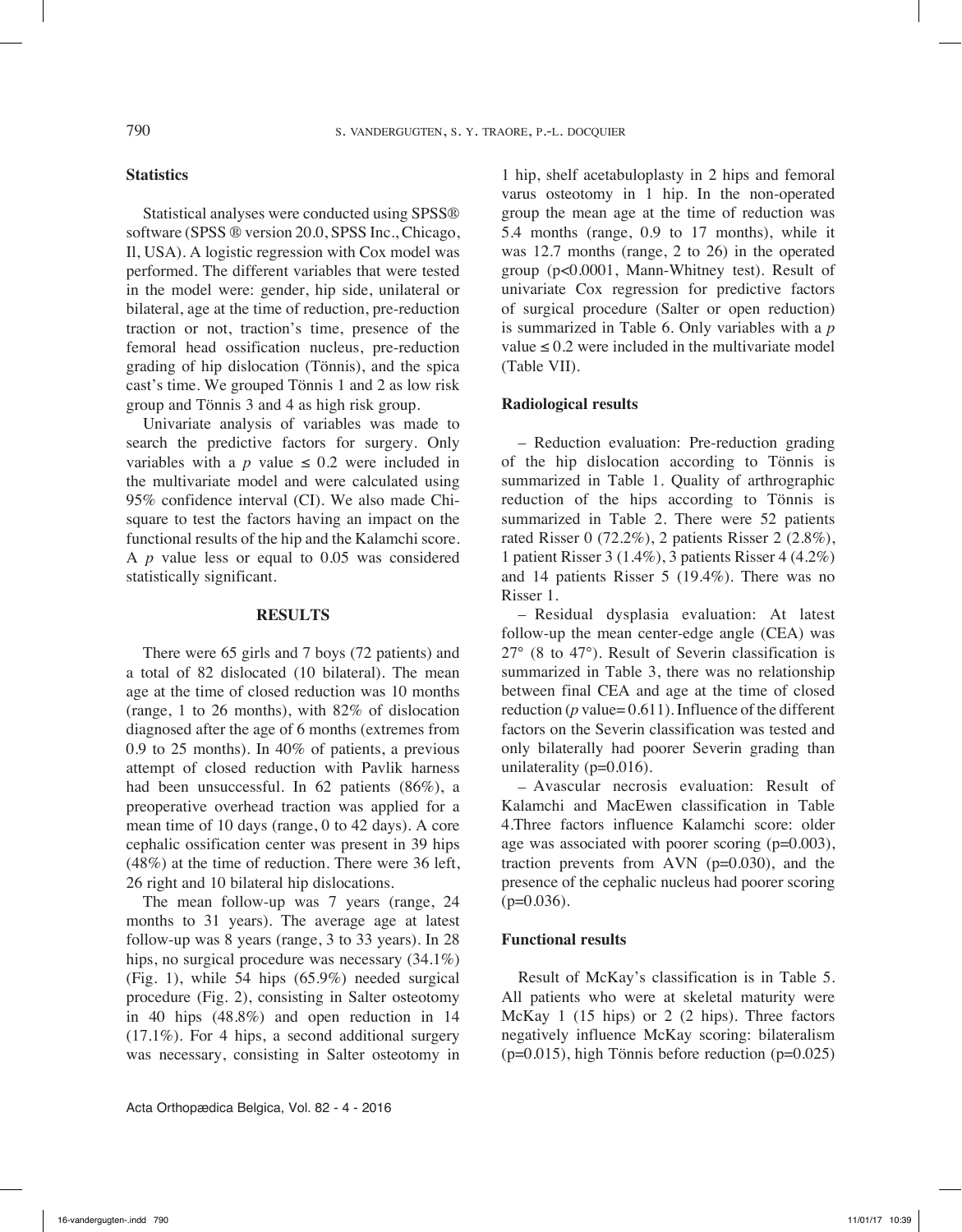## **Statistics**

Statistical analyses were conducted using SPSS® software (SPSS ® version 20.0, SPSS Inc., Chicago, Il, USA). A logistic regression with Cox model was performed. The different variables that were tested in the model were: gender, hip side, unilateral or bilateral, age at the time of reduction, pre-reduction traction or not, traction's time, presence of the femoral head ossification nucleus, pre-reduction grading of hip dislocation (Tönnis), and the spica cast's time. We grouped Tönnis 1 and 2 as low risk group and Tönnis 3 and 4 as high risk group.

Univariate analysis of variables was made to search the predictive factors for surgery. Only variables with a *p* value  $\leq 0.2$  were included in the multivariate model and were calculated using 95% confidence interval (CI). We also made Chisquare to test the factors having an impact on the functional results of the hip and the Kalamchi score. A *p* value less or equal to 0.05 was considered statistically significant.

#### **Results**

There were 65 girls and 7 boys (72 patients) and a total of 82 dislocated (10 bilateral). The mean age at the time of closed reduction was 10 months (range, 1 to 26 months), with 82% of dislocation diagnosed after the age of 6 months (extremes from 0.9 to 25 months). In 40% of patients, a previous attempt of closed reduction with Pavlik harness had been unsuccessful. In 62 patients (86%), a preoperative overhead traction was applied for a mean time of 10 days (range, 0 to 42 days). A core cephalic ossification center was present in 39 hips (48%) at the time of reduction. There were 36 left, 26 right and 10 bilateral hip dislocations.

The mean follow-up was 7 years (range, 24 months to 31 years). The average age at latest follow-up was 8 years (range, 3 to 33 years). In 28 hips, no surgical procedure was necessary (34.1%) (Fig. 1), while 54 hips (65.9%) needed surgical procedure (Fig. 2), consisting in Salter osteotomy in 40 hips (48.8%) and open reduction in 14 (17.1%). For 4 hips, a second additional surgery was necessary, consisting in Salter osteotomy in

Acta Orthopædica Belgica, Vol. 82 - 4 - 2016

1 hip, shelf acetabuloplasty in 2 hips and femoral varus osteotomy in 1 hip. In the non-operated group the mean age at the time of reduction was 5.4 months (range, 0.9 to 17 months), while it was 12.7 months (range, 2 to 26) in the operated group (p<0.0001, Mann-Whitney test). Result of univariate Cox regression for predictive factors of surgical procedure (Salter or open reduction) is summarized in Table 6. Only variables with a *p* value  $\leq 0.2$  were included in the multivariate model (Table VII).

#### **Radiological results**

– Reduction evaluation: Pre-reduction grading of the hip dislocation according to Tönnis is summarized in Table 1. Quality of arthrographic reduction of the hips according to Tönnis is summarized in Table 2. There were 52 patients rated Risser 0 (72.2%), 2 patients Risser 2 (2.8%), 1 patient Risser 3 (1.4%), 3 patients Risser 4 (4.2%) and 14 patients Risser 5 (19.4%). There was no Risser 1.

– Residual dysplasia evaluation: At latest follow-up the mean center-edge angle (CEA) was 27° (8 to 47°). Result of Severin classification is summarized in Table 3, there was no relationship between final CEA and age at the time of closed reduction (*p* value= 0.611). Influence of the different factors on the Severin classification was tested and only bilaterally had poorer Severin grading than unilaterality  $(p=0.016)$ .

– Avascular necrosis evaluation: Result of Kalamchi and MacEwen classification in Table 4.Three factors influence Kalamchi score: older age was associated with poorer scoring (p=0.003), traction prevents from AVN  $(p=0.030)$ , and the presence of the cephalic nucleus had poorer scoring  $(p=0.036)$ .

#### **Functional results**

Result of McKay's classification is in Table 5. All patients who were at skeletal maturity were McKay 1 (15 hips) or 2 (2 hips). Three factors negatively influence McKay scoring: bilateralism  $(p=0.015)$ , high Tönnis before reduction  $(p=0.025)$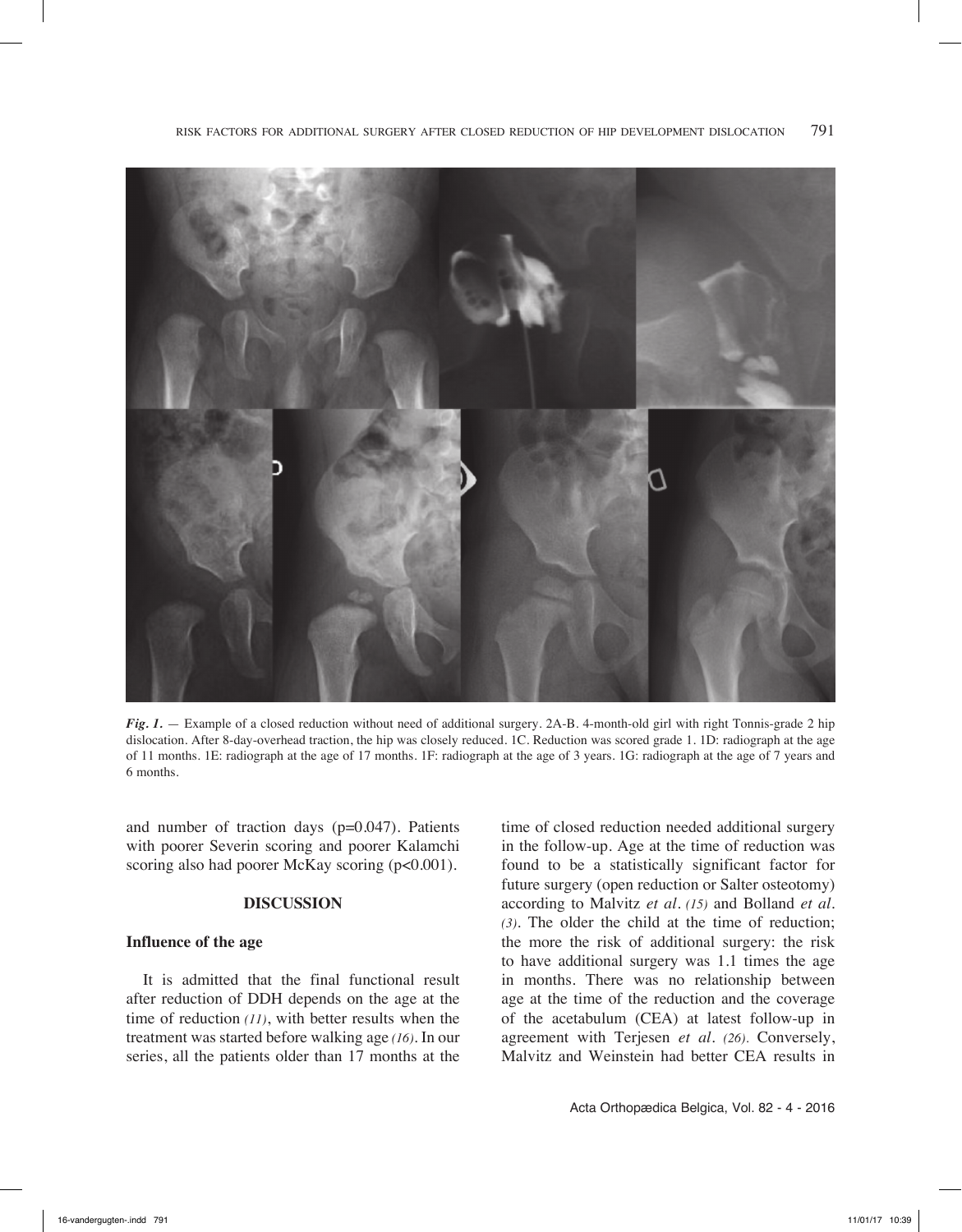

*Fig. 1.* — Example of a closed reduction without need of additional surgery. 2A-B. 4-month-old girl with right Tonnis-grade 2 hip dislocation. After 8-day-overhead traction, the hip was closely reduced. 1C. Reduction was scored grade 1. 1D: radiograph at the age of 11 months. 1E: radiograph at the age of 17 months. 1F: radiograph at the age of 3 years. 1G: radiograph at the age of 7 years and 6 months.

and number of traction days (p=0.047). Patients with poorer Severin scoring and poorer Kalamchi scoring also had poorer McKay scoring (p<0.001).

#### **Discussion**

#### **Influence of the age**

It is admitted that the final functional result after reduction of DDH depends on the age at the time of reduction *(11)*, with better results when the treatment was started before walking age *(16)*. In our series, all the patients older than 17 months at the

time of closed reduction needed additional surgery in the follow-up. Age at the time of reduction was found to be a statistically significant factor for future surgery (open reduction or Salter osteotomy) according to Malvitz *et al. (15)* and Bolland *et al. (3)*. The older the child at the time of reduction; the more the risk of additional surgery: the risk to have additional surgery was 1.1 times the age in months. There was no relationship between age at the time of the reduction and the coverage of the acetabulum (CEA) at latest follow-up in agreement with Terjesen *et al. (26)*. Conversely, Malvitz and Weinstein had better CEA results in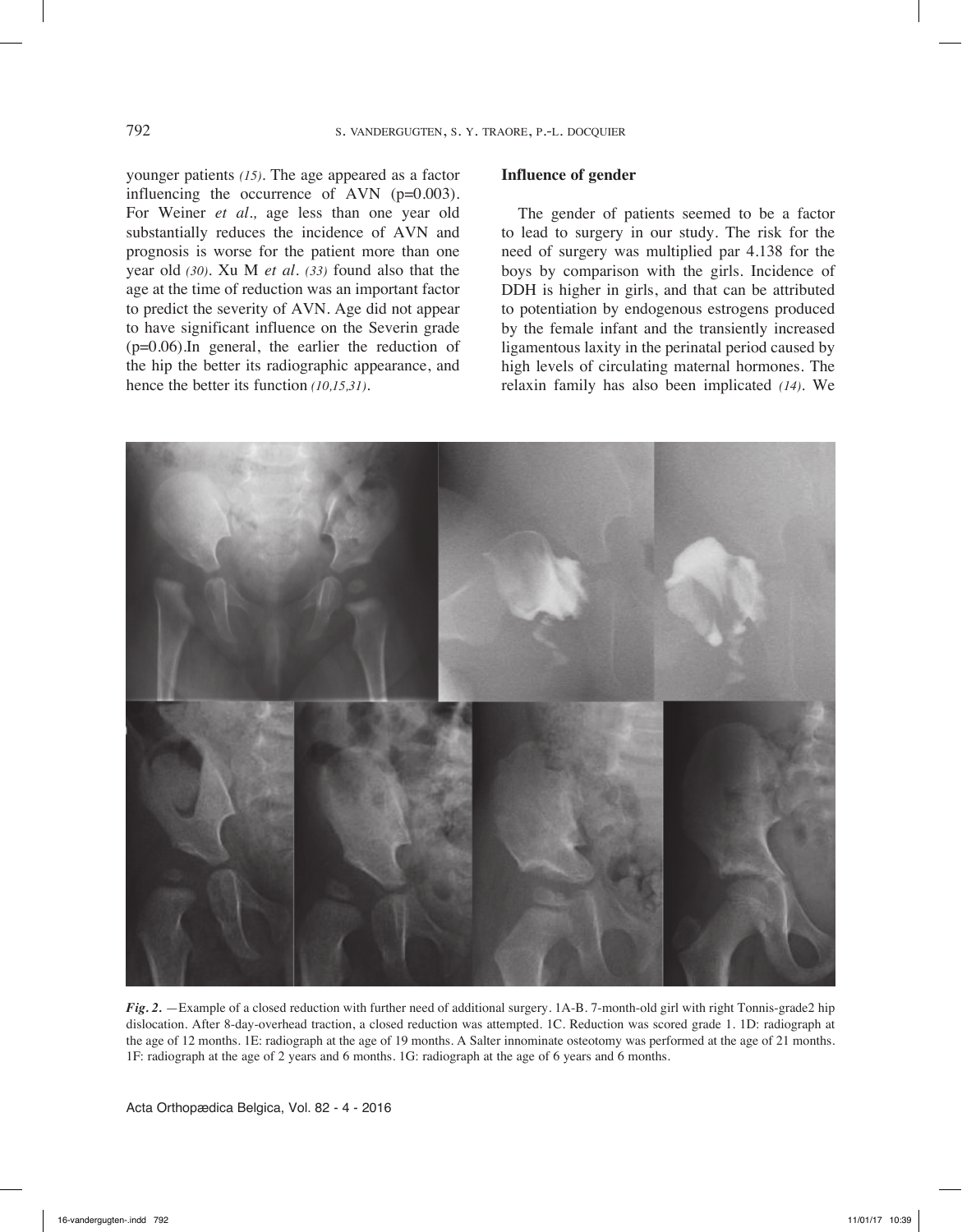younger patients *(15)*. The age appeared as a factor influencing the occurrence of AVN (p=0.003). For Weiner *et al.,* age less than one year old substantially reduces the incidence of AVN and prognosis is worse for the patient more than one year old *(30)*. Xu M *et al. (33)* found also that the age at the time of reduction was an important factor to predict the severity of AVN. Age did not appear to have significant influence on the Severin grade (p=0.06)*.*In general, the earlier the reduction of the hip the better its radiographic appearance, and hence the better its function *(10,15,31).*

#### **Influence of gender**

The gender of patients seemed to be a factor to lead to surgery in our study. The risk for the need of surgery was multiplied par 4.138 for the boys by comparison with the girls. Incidence of DDH is higher in girls, and that can be attributed to potentiation by endogenous estrogens produced by the female infant and the transiently increased ligamentous laxity in the perinatal period caused by high levels of circulating maternal hormones. The relaxin family has also been implicated *(14)*. We



*Fig. 2.* —Example of a closed reduction with further need of additional surgery. 1A-B. 7-month-old girl with right Tonnis-grade2 hip dislocation. After 8-day-overhead traction, a closed reduction was attempted. 1C. Reduction was scored grade 1. 1D: radiograph at the age of 12 months. 1E: radiograph at the age of 19 months. A Salter innominate osteotomy was performed at the age of 21 months. 1F: radiograph at the age of 2 years and 6 months. 1G: radiograph at the age of 6 years and 6 months.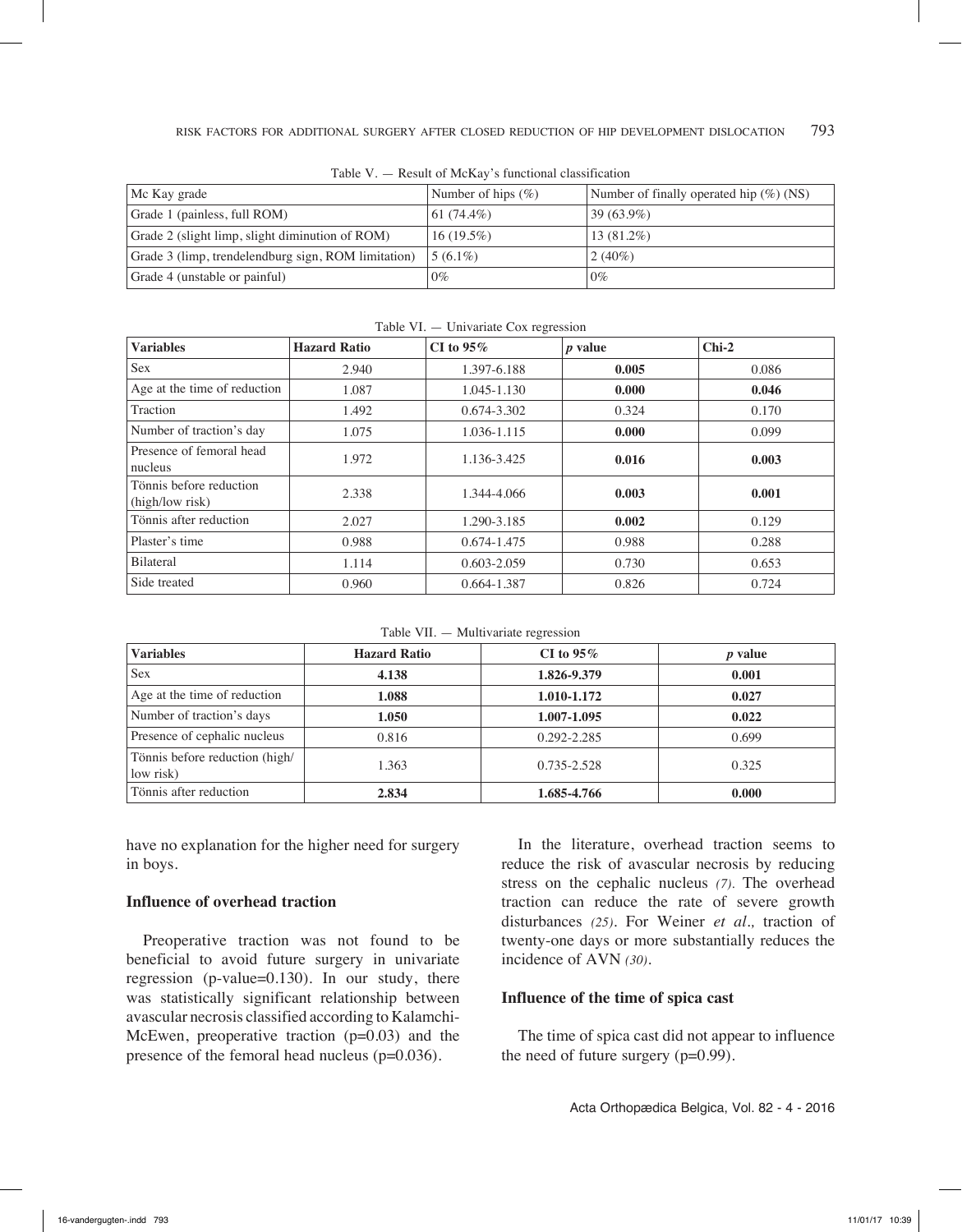| Mc Kay grade                                        | Number of hips $(\% )$ | Number of finally operated hip $(\%)(NS)$ |  |
|-----------------------------------------------------|------------------------|-------------------------------------------|--|
| Grade 1 (painless, full ROM)                        | 61 $(74.4\%)$          | $139(63.9\%)$                             |  |
| Grade 2 (slight limp, slight diminution of ROM)     | $16(19.5\%)$           | $13(81.2\%)$                              |  |
| Grade 3 (limp, trendelendburg sign, ROM limitation) | $5(6.1\%)$             | 2 $(40\%)$                                |  |
| Grade 4 (unstable or painful)                       | $0\%$                  | $0\%$                                     |  |

|--|

| <b>Variables</b>                           | <b>Hazard Ratio</b> | CI to $95\%$ | <i>p</i> value | $Chi-2$ |
|--------------------------------------------|---------------------|--------------|----------------|---------|
| <b>Sex</b>                                 | 2.940               | 1.397-6.188  | 0.005          | 0.086   |
| Age at the time of reduction               | 1.087               | 1.045-1.130  | 0.000          | 0.046   |
| Traction                                   | 1.492               | 0.674-3.302  | 0.324          | 0.170   |
| Number of traction's day                   | 1.075               | 1.036-1.115  | 0.000          | 0.099   |
| Presence of femoral head<br>nucleus        | 1.972               | 1.136-3.425  | 0.016          | 0.003   |
| Tönnis before reduction<br>(high/low risk) | 2.338               | 1.344-4.066  | 0.003          | 0.001   |
| Tönnis after reduction                     | 2.027               | 1.290-3.185  | 0.002          | 0.129   |
| Plaster's time                             | 0.988               | 0.674-1.475  | 0.988          | 0.288   |
| Bilateral                                  | 1.114               | 0.603-2.059  | 0.730          | 0.653   |
| Side treated                               | 0.960               | 0.664-1.387  | 0.826          | 0.724   |

Table VI. — Univariate Cox regression

Table VII. — Multivariate regression

| <b>Variables</b>                            | <b>Hazard Ratio</b> | CI to $95\%$ | $p$ value |
|---------------------------------------------|---------------------|--------------|-----------|
| <b>Sex</b>                                  | 4.138               | 1.826-9.379  | 0.001     |
| Age at the time of reduction                | 1.088               | 1.010-1.172  | 0.027     |
| Number of traction's days                   | 1.050               | 1.007-1.095  | 0.022     |
| Presence of cephalic nucleus                | 0.816               | 0.292-2.285  | 0.699     |
| Tönnis before reduction (high/<br>low risk) | 1.363               | 0.735-2.528  | 0.325     |
| Tönnis after reduction                      | 2.834               | 1.685-4.766  | 0.000     |

have no explanation for the higher need for surgery in boys.

## **Influence of overhead traction**

Preoperative traction was not found to be beneficial to avoid future surgery in univariate regression (p-value=0.130). In our study, there was statistically significant relationship between avascular necrosis classified according to Kalamchi-McEwen, preoperative traction  $(p=0.03)$  and the presence of the femoral head nucleus (p=0.036).

In the literature, overhead traction seems to reduce the risk of avascular necrosis by reducing stress on the cephalic nucleus *(7)*. The overhead traction can reduce the rate of severe growth disturbances *(25)*. For Weiner *et al.,* traction of twenty-one days or more substantially reduces the incidence of AVN *(30)*.

## **Influence of the time of spica cast**

The time of spica cast did not appear to influence the need of future surgery (p=0.99).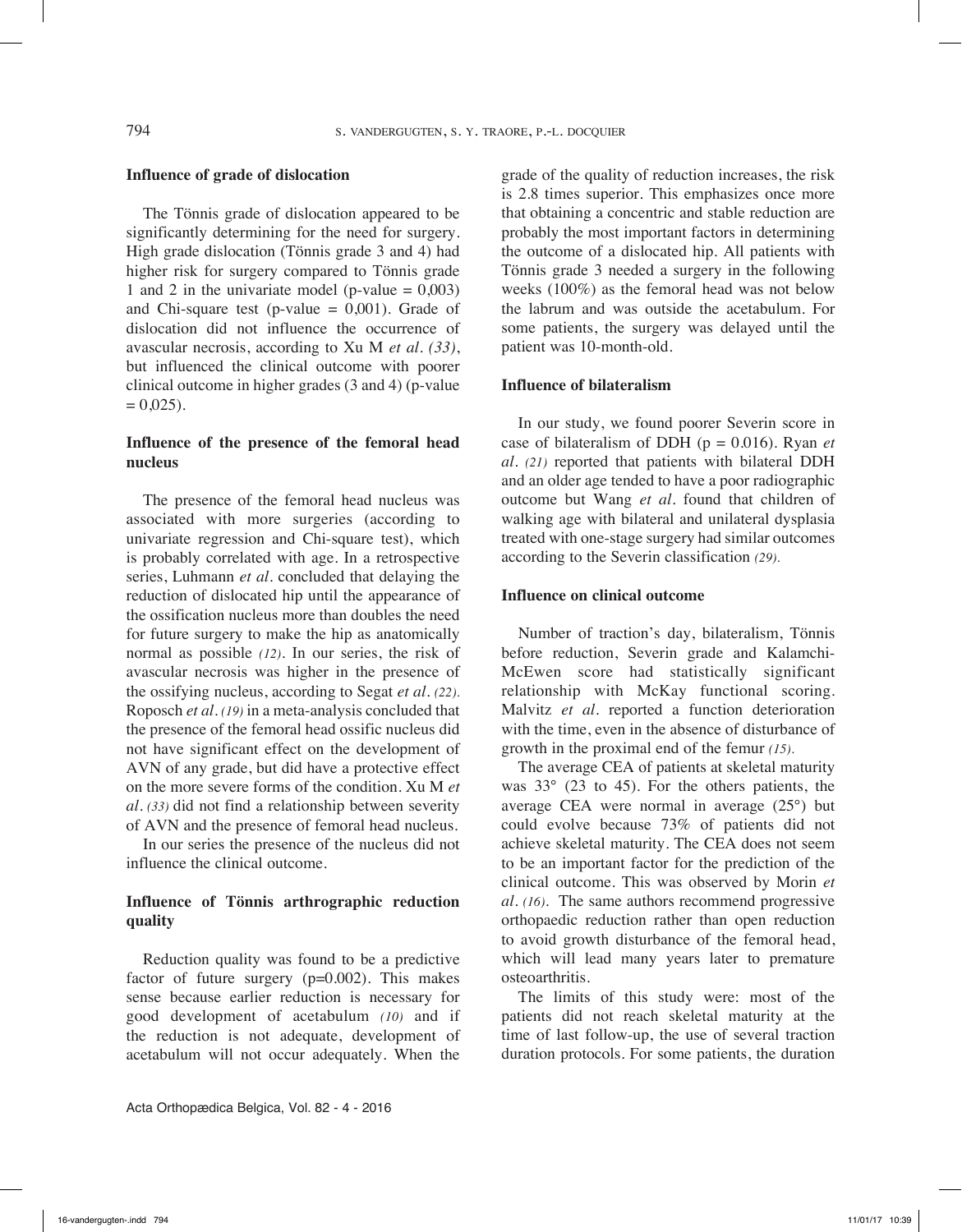#### **Influence of grade of dislocation**

The Tönnis grade of dislocation appeared to be significantly determining for the need for surgery. High grade dislocation (Tönnis grade 3 and 4) had higher risk for surgery compared to Tönnis grade 1 and 2 in the univariate model (p-value  $= 0,003$ ) and Chi-square test (p-value  $= 0,001$ ). Grade of dislocation did not influence the occurrence of avascular necrosis, according to Xu M *et al. (33)*, but influenced the clinical outcome with poorer clinical outcome in higher grades (3 and 4) (p-value  $= 0.025$ ).

## **Influence of the presence of the femoral head nucleus**

The presence of the femoral head nucleus was associated with more surgeries (according to univariate regression and Chi-square test), which is probably correlated with age. In a retrospective series, Luhmann *et al.* concluded that delaying the reduction of dislocated hip until the appearance of the ossification nucleus more than doubles the need for future surgery to make the hip as anatomically normal as possible *(12)*. In our series, the risk of avascular necrosis was higher in the presence of the ossifying nucleus, according to Segat *et al. (22)*. Roposch *et al. (19)* in a meta-analysis concluded that the presence of the femoral head ossific nucleus did not have significant effect on the development of AVN of any grade, but did have a protective effect on the more severe forms of the condition. Xu M *et al. (33)* did not find a relationship between severity of AVN and the presence of femoral head nucleus.

In our series the presence of the nucleus did not influence the clinical outcome.

# **Influence of Tönnis arthrographic reduction quality**

Reduction quality was found to be a predictive factor of future surgery  $(p=0.002)$ . This makes sense because earlier reduction is necessary for good development of acetabulum *(10)* and if the reduction is not adequate, development of acetabulum will not occur adequately. When the

grade of the quality of reduction increases, the risk is 2.8 times superior. This emphasizes once more that obtaining a concentric and stable reduction are probably the most important factors in determining the outcome of a dislocated hip. All patients with Tönnis grade 3 needed a surgery in the following weeks (100%) as the femoral head was not below the labrum and was outside the acetabulum. For some patients, the surgery was delayed until the patient was 10-month-old.

#### **Influence of bilateralism**

In our study, we found poorer Severin score in case of bilateralism of DDH (p = 0.016). Ryan *et al. (21)* reported that patients with bilateral DDH and an older age tended to have a poor radiographic outcome but Wang *et al.* found that children of walking age with bilateral and unilateral dysplasia treated with one-stage surgery had similar outcomes according to the Severin classification *(29)*.

#### **Influence on clinical outcome**

Number of traction's day, bilateralism, Tönnis before reduction, Severin grade and Kalamchi-McEwen score had statistically significant relationship with McKay functional scoring. Malvitz *et al.* reported a function deterioration with the time, even in the absence of disturbance of growth in the proximal end of the femur *(15)*.

The average CEA of patients at skeletal maturity was 33° (23 to 45). For the others patients, the average CEA were normal in average (25°) but could evolve because 73% of patients did not achieve skeletal maturity. The CEA does not seem to be an important factor for the prediction of the clinical outcome. This was observed by Morin *et al. (16)*. The same authors recommend progressive orthopaedic reduction rather than open reduction to avoid growth disturbance of the femoral head, which will lead many years later to premature osteoarthritis.

The limits of this study were: most of the patients did not reach skeletal maturity at the time of last follow-up, the use of several traction duration protocols. For some patients, the duration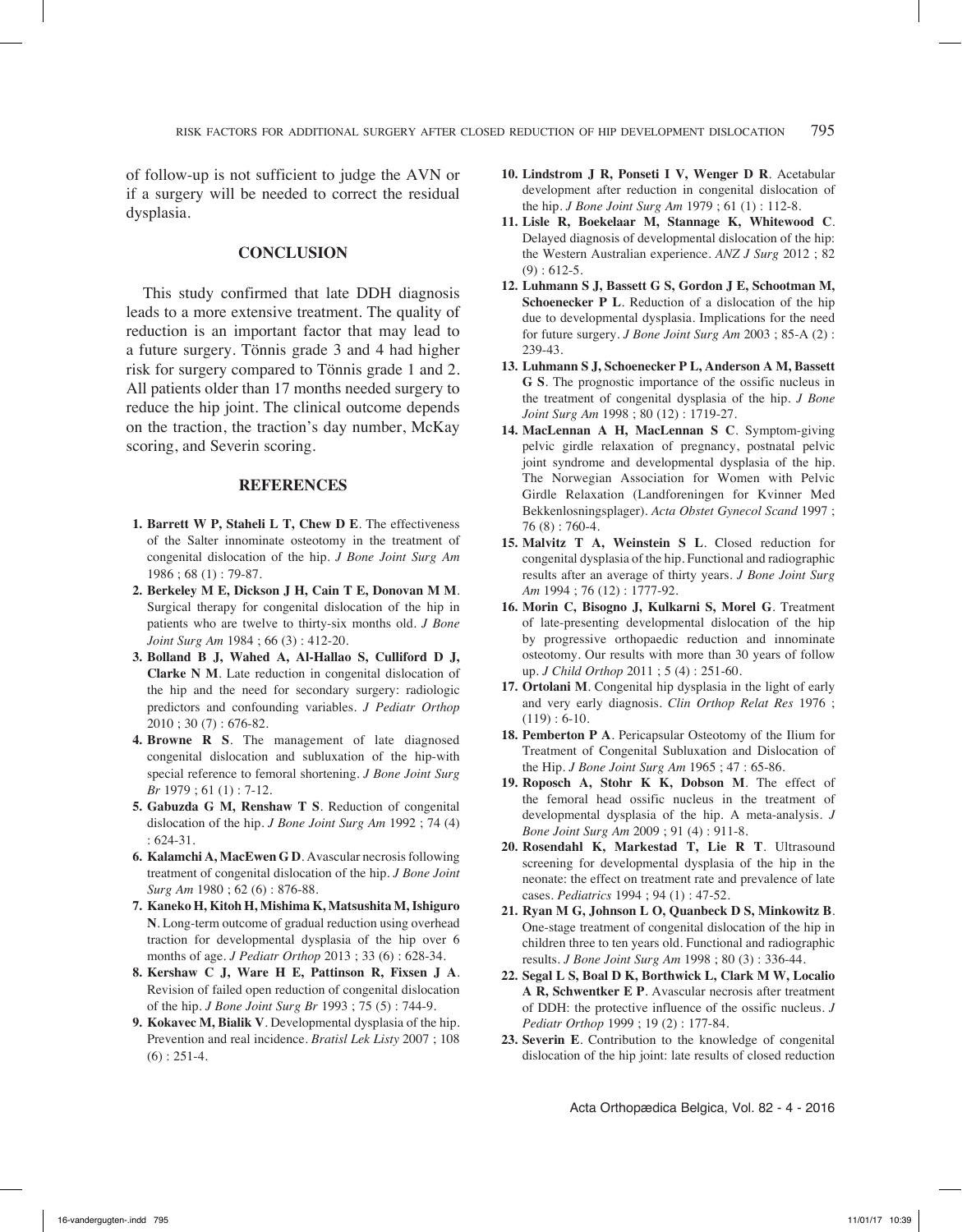of follow-up is not sufficient to judge the AVN or if a surgery will be needed to correct the residual dysplasia.

#### **Conclusion**

This study confirmed that late DDH diagnosis leads to a more extensive treatment. The quality of reduction is an important factor that may lead to a future surgery. Tönnis grade 3 and 4 had higher risk for surgery compared to Tönnis grade 1 and 2. All patients older than 17 months needed surgery to reduce the hip joint. The clinical outcome depends on the traction, the traction's day number, McKay scoring, and Severin scoring.

#### **References**

- **1. Barrett W P, Staheli L T, Chew D E**. The effectiveness of the Salter innominate osteotomy in the treatment of congenital dislocation of the hip. *J Bone Joint Surg Am* 1986 ; 68 (1) : 79-87.
- **2. Berkeley M E, Dickson J H, Cain T E, Donovan M M**. Surgical therapy for congenital dislocation of the hip in patients who are twelve to thirty-six months old. *J Bone Joint Surg Am* 1984 ; 66 (3) : 412-20.
- **3. Bolland B J, Wahed A, Al-Hallao S, Culliford D J, Clarke N M**. Late reduction in congenital dislocation of the hip and the need for secondary surgery: radiologic predictors and confounding variables. *J Pediatr Orthop* 2010 ; 30 (7) : 676-82.
- **4. Browne R S**. The management of late diagnosed congenital dislocation and subluxation of the hip-with special reference to femoral shortening. *J Bone Joint Surg Br* 1979 ; 61 (1) : 7-12.
- **5. Gabuzda G M, Renshaw T S**. Reduction of congenital dislocation of the hip. *J Bone Joint Surg Am* 1992 ; 74 (4) : 624-31.
- **6. Kalamchi A, MacEwen G D**. Avascular necrosis following treatment of congenital dislocation of the hip. *J Bone Joint Surg Am* 1980 ; 62 (6) : 876-88.
- **7. Kaneko H, Kitoh H, Mishima K, Matsushita M, Ishiguro N**. Long-term outcome of gradual reduction using overhead traction for developmental dysplasia of the hip over 6 months of age. *J Pediatr Orthop* 2013 ; 33 (6) : 628-34.
- **8. Kershaw C J, Ware H E, Pattinson R, Fixsen J A**. Revision of failed open reduction of congenital dislocation of the hip. *J Bone Joint Surg Br* 1993 ; 75 (5) : 744-9.
- **9. Kokavec M, Bialik V**. Developmental dysplasia of the hip. Prevention and real incidence. *Bratisl Lek Listy* 2007 ; 108  $(6) : 251-4.$
- **10. Lindstrom J R, Ponseti I V, Wenger D R**. Acetabular development after reduction in congenital dislocation of the hip. *J Bone Joint Surg Am* 1979 ; 61 (1) : 112-8.
- **11. Lisle R, Boekelaar M, Stannage K, Whitewood C**. Delayed diagnosis of developmental dislocation of the hip: the Western Australian experience. *ANZ J Surg* 2012 ; 82  $(9): 612-5.$
- **12. Luhmann S J, Bassett G S, Gordon J E, Schootman M, Schoenecker P L**. Reduction of a dislocation of the hip due to developmental dysplasia. Implications for the need for future surgery. *J Bone Joint Surg Am* 2003 ; 85-A (2) : 239-43.
- **13. Luhmann S J, Schoenecker P L, Anderson A M, Bassett G S**. The prognostic importance of the ossific nucleus in the treatment of congenital dysplasia of the hip. *J Bone Joint Surg Am* 1998 ; 80 (12) : 1719-27.
- **14. MacLennan A H, MacLennan S C**. Symptom-giving pelvic girdle relaxation of pregnancy, postnatal pelvic joint syndrome and developmental dysplasia of the hip. The Norwegian Association for Women with Pelvic Girdle Relaxation (Landforeningen for Kvinner Med Bekkenlosningsplager). *Acta Obstet Gynecol Scand* 1997 ; 76 (8) : 760-4.
- **15. Malvitz T A, Weinstein S L**. Closed reduction for congenital dysplasia of the hip. Functional and radiographic results after an average of thirty years. *J Bone Joint Surg Am* 1994 ; 76 (12) : 1777-92.
- **16. Morin C, Bisogno J, Kulkarni S, Morel G**. Treatment of late-presenting developmental dislocation of the hip by progressive orthopaedic reduction and innominate osteotomy. Our results with more than 30 years of follow up. *J Child Orthop* 2011 ; 5 (4) : 251-60.
- **17. Ortolani M**. Congenital hip dysplasia in the light of early and very early diagnosis. *Clin Orthop Relat Res* 1976 ;  $(119): 6-10.$
- **18. Pemberton P A**. Pericapsular Osteotomy of the Ilium for Treatment of Congenital Subluxation and Dislocation of the Hip. *J Bone Joint Surg Am* 1965 ; 47 : 65-86.
- **19. Roposch A, Stohr K K, Dobson M**. The effect of the femoral head ossific nucleus in the treatment of developmental dysplasia of the hip. A meta-analysis. *J Bone Joint Surg Am* 2009 ; 91 (4) : 911-8.
- **20. Rosendahl K, Markestad T, Lie R T**. Ultrasound screening for developmental dysplasia of the hip in the neonate: the effect on treatment rate and prevalence of late cases. *Pediatrics* 1994 ; 94 (1) : 47-52.
- **21. Ryan M G, Johnson L O, Quanbeck D S, Minkowitz B**. One-stage treatment of congenital dislocation of the hip in children three to ten years old. Functional and radiographic results. *J Bone Joint Surg Am* 1998 ; 80 (3) : 336-44.
- **22. Segal L S, Boal D K, Borthwick L, Clark M W, Localio A R, Schwentker E P**. Avascular necrosis after treatment of DDH: the protective influence of the ossific nucleus. *J Pediatr Orthop* 1999 ; 19 (2) : 177-84.
- **23. Severin E**. Contribution to the knowledge of congenital dislocation of the hip joint: late results of closed reduction